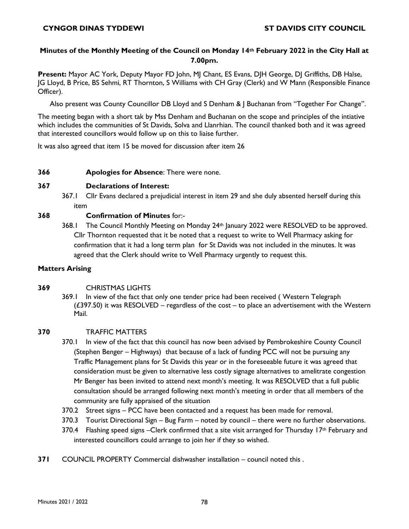# **Minutes of the Monthly Meeting of the Council on Monday 14th February 2022 in the City Hall at 7.00pm.**

**Present:** Mayor AC York, Deputy Mayor FD John, MJ Chant, ES Evans, DJH George, DJ Griffiths, DB Halse, JG Lloyd, B Price, BS Sehmi, RT Thornton, S Williams with CH Gray (Clerk) and W Mann (Responsible Finance Officer).

Also present was County Councillor DB Lloyd and S Denham & J Buchanan from "Together For Change".

The meeting began with a short tak by Mss Denham and Buchanan on the scope and principles of the intiative which includes the communities of St Davids, Solva and Llanrhian. The council thanked both and it was agreed that interested councillors would follow up on this to liaise further.

It was also agreed that item 15 be moved for discussion after item 26

**366 Apologies for Absence**: There were none.

## **367 Declarations of Interest:**

367.1 Cllr Evans declared a prejudicial interest in item 29 and she duly absented herself during this item

# **368 Confirmation of Minutes** for:-

368.1 The Council Monthly Meeting on Monday 24th January 2022 were RESOLVED to be approved. Cllr Thornton requested that it be noted that a request to write to Well Pharmacy asking for confirmation that it had a long term plan for St Davids was not included in the minutes. It was agreed that the Clerk should write to Well Pharmacy urgently to request this.

## **Matters Arising**

# **369** CHRISTMAS LIGHTS

369.1 In view of the fact that only one tender price had been received ( Western Telegraph  $(£397.50)$  it was RESOLVED – regardless of the cost – to place an advertisement with the Western Mail.

# **370** TRAFFIC MATTERS

- 370.1 In view of the fact that this council has now been advised by Pembrokeshire County Council (Stephen Benger – Highways) that because of a lack of funding PCC will not be pursuing any Traffic Management plans for St Davids this year or in the foreseeable future it was agreed that consideration must be given to alternative less costly signage alternatives to amelitrate congestion Mr Benger has been invited to attend next month's meeting. It was RESOLVED that a full public consultation should be arranged following next month's meeting in order that all members of the community are fully appraised of the situation
- 370.2 Street signs PCC have been contacted and a request has been made for removal.
- 370.3 Tourist Directional Sign Bug Farm noted by council there were no further observations.
- 370.4 Flashing speed signs –Clerk confirmed that a site visit arranged for Thursday 17<sup>th</sup> February and interested councillors could arrange to join her if they so wished.
- **371** COUNCIL PROPERTY Commercial dishwasher installation council noted this .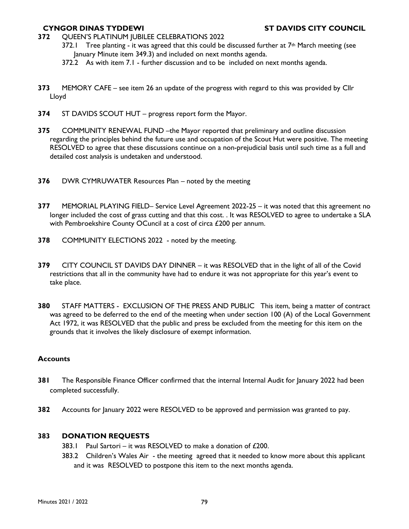- **372** QUEEN'S PLATINUM JUBILEE CELEBRATIONS 2022
	- 372.1 Tree planting it was agreed that this could be discussed further at  $7<sup>th</sup>$  March meeting (see January Minute item 349.3) and included on next months agenda.
	- 372.2 As with item 7.1 further discussion and to be included on next months agenda.
- **373** MEMORY CAFE see item 26 an update of the progress with regard to this was provided by Cllr Lloyd
- **374** ST DAVIDS SCOUT HUT progress report form the Mayor.
- **375** COMMUNITY RENEWAL FUND –the Mayor reported that preliminary and outline discussion regarding the principles behind the future use and occupation of the Scout Hut were positive. The meeting RESOLVED to agree that these discussions continue on a non-prejudicial basis until such time as a full and detailed cost analysis is undetaken and understood.
- **376** DWR CYMRUWATER Resources Plan noted by the meeting
- **377** MEMORIAL PLAYING FIELD– Service Level Agreement 2022-25 it was noted that this agreement no longer included the cost of grass cutting and that this cost. . It was RESOLVED to agree to undertake a SLA with Pembroekshire County OCuncil at a cost of circa £200 per annum.
- **378** COMMUNITY ELECTIONS 2022 noted by the meeting.
- **379** CITY COUNCIL ST DAVIDS DAY DINNER it was RESOLVED that in the light of all of the Covid restrictions that all in the community have had to endure it was not appropriate for this year's event to take place.
- **380** STAFF MATTERS EXCLUSION OF THE PRESS AND PUBLIC This item, being a matter of contract was agreed to be deferred to the end of the meeting when under section 100 (A) of the Local Government Act 1972, it was RESOLVED that the public and press be excluded from the meeting for this item on the grounds that it involves the likely disclosure of exempt information.

### **Accounts**

- **381** The Responsible Finance Officer confirmed that the internal Internal Audit for January 2022 had been completed successfully.
- **382** Accounts for January 2022 were RESOLVED to be approved and permission was granted to pay.

### **383 DONATION REQUESTS**

- 383.1 Paul Sartori it was RESOLVED to make a donation of £200.
- 383.2 Children's Wales Air the meeting agreed that it needed to know more about this applicant and it was RESOLVED to postpone this item to the next months agenda.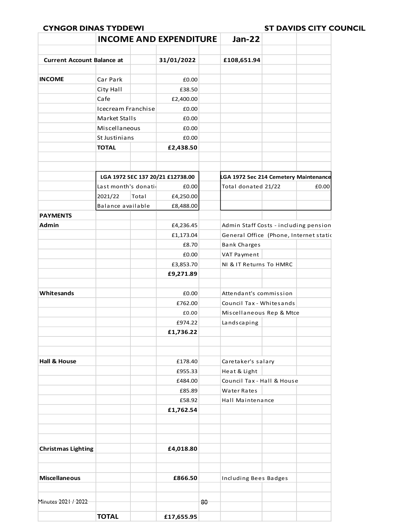|                                   | <b>INCOME AND EXPENDITURE</b>    |       |            | <b>Jan-22</b> |                                        |  |       |
|-----------------------------------|----------------------------------|-------|------------|---------------|----------------------------------------|--|-------|
| <b>Current Account Balance at</b> |                                  |       | 31/01/2022 |               | £108,651.94                            |  |       |
|                                   |                                  |       |            |               |                                        |  |       |
| <b>INCOME</b>                     | Car Park                         |       | £0.00      |               |                                        |  |       |
|                                   | City Hall                        |       | £38.50     |               |                                        |  |       |
|                                   | Cafe                             |       | £2,400.00  |               |                                        |  |       |
|                                   | Icecream Franchise               |       | £0.00      |               |                                        |  |       |
|                                   | Market Stalls                    |       | £0.00      |               |                                        |  |       |
|                                   | Miscellaneous                    |       | £0.00      |               |                                        |  |       |
|                                   | St Justinians                    |       | £0.00      |               |                                        |  |       |
|                                   | <b>TOTAL</b>                     |       | £2,438.50  |               |                                        |  |       |
|                                   |                                  |       |            |               |                                        |  |       |
|                                   |                                  |       |            |               |                                        |  |       |
|                                   | LGA 1972 SEC 137 20/21 £12738.00 |       |            |               | LGA 1972 Sec 214 Cemetery Maintenance  |  |       |
|                                   | Last month's donation            |       | £0.00      |               | Total donated 21/22                    |  | £0.00 |
|                                   | 2021/22                          | Total | £4,250.00  |               |                                        |  |       |
|                                   | Balance available                |       | £8,488.00  |               |                                        |  |       |
| <b>PAYMENTS</b>                   |                                  |       |            |               |                                        |  |       |
| Admin                             |                                  |       | £4,236.45  |               | Admin Staff Costs - including pension  |  |       |
|                                   |                                  |       | £1,173.04  |               | General Office (Phone, Internet static |  |       |
|                                   |                                  |       | £8.70      |               | <b>Bank Charges</b>                    |  |       |
|                                   |                                  |       | £0.00      |               | VAT Payment                            |  |       |
|                                   |                                  |       | £3,853.70  |               | NI & IT Returns To HMRC                |  |       |
|                                   |                                  |       | £9,271.89  |               |                                        |  |       |
|                                   |                                  |       |            |               |                                        |  |       |
| Whitesands                        |                                  |       | £0.00      |               | Attendant's commission                 |  |       |
|                                   |                                  |       | £762.00    |               | Council Tax - Whitesands               |  |       |
|                                   |                                  |       | £0.00      |               | Miscellaneous Rep & Mtce               |  |       |
|                                   |                                  |       | £974.22    |               | Landscaping                            |  |       |
|                                   |                                  |       | £1,736.22  |               |                                        |  |       |
|                                   |                                  |       |            |               |                                        |  |       |
|                                   |                                  |       |            |               |                                        |  |       |
| <b>Hall &amp; House</b>           |                                  |       | £178.40    |               | Caretaker's salary                     |  |       |
|                                   |                                  |       | £955.33    |               | Heat & Light                           |  |       |
|                                   |                                  |       | £484.00    |               | Council Tax - Hall & House             |  |       |
|                                   |                                  |       | £85.89     |               | Water Rates                            |  |       |
|                                   |                                  |       | £58.92     |               | Hall Maintenance                       |  |       |
|                                   |                                  |       | £1,762.54  |               |                                        |  |       |
|                                   |                                  |       |            |               |                                        |  |       |
|                                   |                                  |       |            |               |                                        |  |       |
|                                   |                                  |       |            |               |                                        |  |       |
| <b>Christmas Lighting</b>         |                                  |       | £4,018.80  |               |                                        |  |       |
|                                   |                                  |       |            |               |                                        |  |       |
|                                   |                                  |       |            |               |                                        |  |       |
| <b>Miscellaneous</b>              |                                  |       | £866.50    |               | Including Bees Badges                  |  |       |
|                                   |                                  |       |            |               |                                        |  |       |
| Minutes 2021 / 2022               |                                  |       |            | 80            |                                        |  |       |
|                                   |                                  |       |            |               |                                        |  |       |
|                                   | <b>TOTAL</b>                     |       | £17,655.95 |               |                                        |  |       |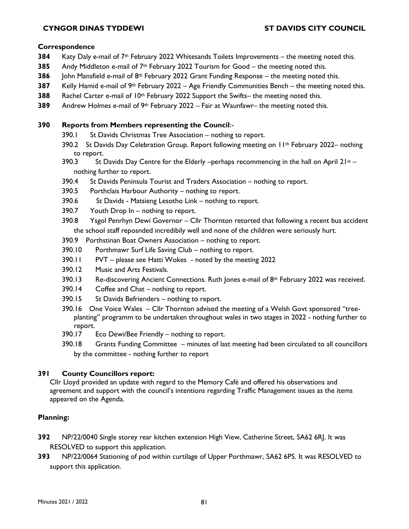### **Correspondence**

- **384** Katy Daly e-mail of 7th February 2022 Whitesands Toilets Improvements the meeting noted this.
- **385** Andy Middleton e-mail of 7th February 2022 Tourism for Good the meeting noted this.
- **386** John Mansfield e-mail of  $8<sup>th</sup>$  February 2022 Grant Funding Response the meeting noted this.
- **387** Kelly Hamid e-mail of 9th February 2022 Age Friendly Communities Bench the meeting noted this.
- **388** Rachel Carter e-mail of 10<sup>th</sup> February 2022 Support the Swifts– the meeting noted this.
- **389** Andrew Holmes e-mail of 9th February 2022 Fair at Waunfawr– the meeting noted this.

### **390 Reports from Members representing the Council**:-

- 390.1 St Davids Christmas Tree Association nothing to report.
- 390.2 St Davids Day Celebration Group. Report following meeting on 11th February 2022– nothing to report.
- 390.3 St Davids Day Centre for the Elderly –perhaps recommencing in the hall on April  $21^{st}$  nothing further to report.
- 390.4 St Davids Peninsula Tourist and Traders Association nothing to report.
- 390.5 Porthclais Harbour Authority nothing to report.
- 390.6 St Davids Matsieng Lesotho Link nothing to report.
- 390.7 Youth Drop In nothing to report.
- 390.8 Ysgol Penrhyn Dewi Governor Cllr Thornton retorted that following a recent bus accident the school staff reposnded incredibily well and none of the children were seriously hurt.
- 390.9 Porthstinan Boat Owners Association nothing to report.
- 390.10 Porthmawr Surf Life Saving Club nothing to report.
- 390.11 PVT please see Hatti Wokes noted by the meeting 2022
- 390.12 Music and Arts Festivals.
- 390.13 Re-discovering Ancient Connections. Ruth Jones e-mail of 8th February 2022 was received.
- 390.14 Coffee and Chat nothing to report.
- 390.15 St Davids Befrienders nothing to report.
- 390.16 One Voice Wales Cllr Thornton advised the meeting of a Welsh Govt sponsored "treeplanting" programm to be undertaken throughout wales in two stages in 2022 - nothing further to report.
- 390.17 Eco Dewi/Bee Friendly nothing to report.
- 390.18 Grants Funding Committee minutes of last meeting had been circulated to all councillors by the committee - nothing further to report

# **391 County Councillors report:**

Cllr Lloyd provided an update with regard to the Memory Café and offered his observations and agreement and support with the council's intentions regarding Traffic Management issues as the items appeared on the Agenda.

# **Planning:**

- **392** NP/22/0040 Single storey rear kitchen extension High View, Catherine Street, SA62 6RJ. It was RESOLVED to support this application.
- **393** NP/22/0064 Stationing of pod within curtilage of Upper Porthmawr, SA62 6PS. It was RESOLVED to support this application.